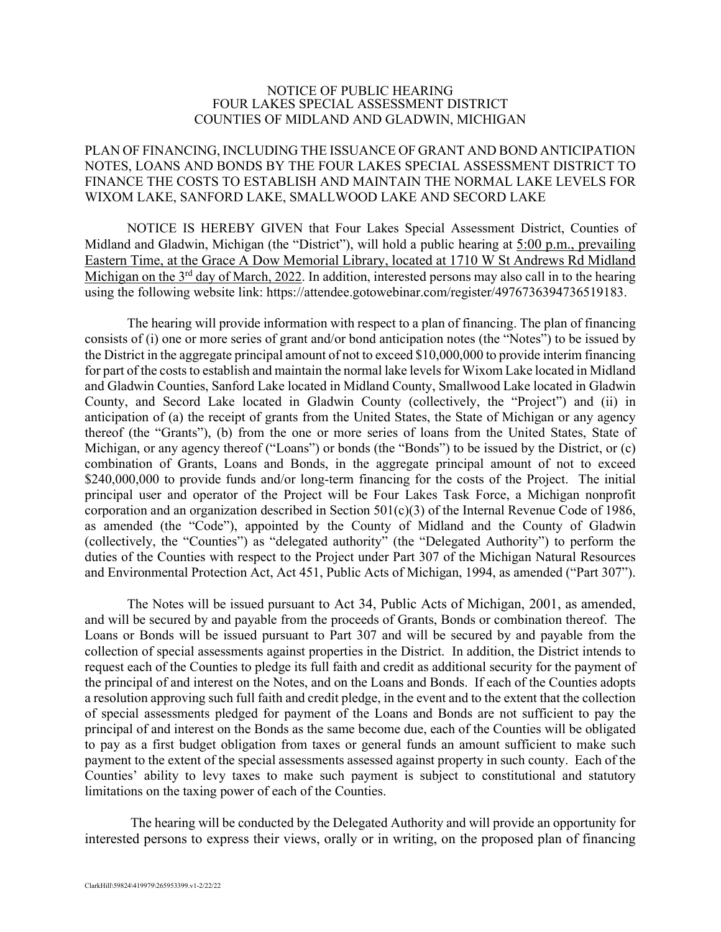## NOTICE OF PUBLIC HEARING FOUR LAKES SPECIAL ASSESSMENT DISTRICT COUNTIES OF MIDLAND AND GLADWIN, MICHIGAN

## PLAN OF FINANCING, INCLUDING THE ISSUANCE OF GRANT AND BOND ANTICIPATION NOTES, LOANS AND BONDS BY THE FOUR LAKES SPECIAL ASSESSMENT DISTRICT TO FINANCE THE COSTS TO ESTABLISH AND MAINTAIN THE NORMAL LAKE LEVELS FOR WIXOM LAKE, SANFORD LAKE, SMALLWOOD LAKE AND SECORD LAKE

NOTICE IS HEREBY GIVEN that Four Lakes Special Assessment District, Counties of Midland and Gladwin, Michigan (the "District"), will hold a public hearing at 5:00 p.m., prevailing Eastern Time, at the Grace A Dow Memorial Library, located at 1710 W St Andrews Rd Midland Michigan on the 3<sup>rd</sup> day of March, 2022. In addition, interested persons may also call in to the hearing using the following website link: https://attendee.gotowebinar.com/register/4976736394736519183.

The hearing will provide information with respect to a plan of financing. The plan of financing consists of (i) one or more series of grant and/or bond anticipation notes (the "Notes") to be issued by the District in the aggregate principal amount of not to exceed \$10,000,000 to provide interim financing for part of the costs to establish and maintain the normal lake levels for Wixom Lake located in Midland and Gladwin Counties, Sanford Lake located in Midland County, Smallwood Lake located in Gladwin County, and Secord Lake located in Gladwin County (collectively, the "Project") and (ii) in anticipation of (a) the receipt of grants from the United States, the State of Michigan or any agency thereof (the "Grants"), (b) from the one or more series of loans from the United States, State of Michigan, or any agency thereof ("Loans") or bonds (the "Bonds") to be issued by the District, or (c) combination of Grants, Loans and Bonds, in the aggregate principal amount of not to exceed \$240,000,000 to provide funds and/or long-term financing for the costs of the Project. The initial principal user and operator of the Project will be Four Lakes Task Force, a Michigan nonprofit corporation and an organization described in Section 501(c)(3) of the Internal Revenue Code of 1986, as amended (the "Code"), appointed by the County of Midland and the County of Gladwin (collectively, the "Counties") as "delegated authority" (the "Delegated Authority") to perform the duties of the Counties with respect to the Project under Part 307 of the Michigan Natural Resources and Environmental Protection Act, Act 451, Public Acts of Michigan, 1994, as amended ("Part 307").

The Notes will be issued pursuant to Act 34, Public Acts of Michigan, 2001, as amended, and will be secured by and payable from the proceeds of Grants, Bonds or combination thereof. The Loans or Bonds will be issued pursuant to Part 307 and will be secured by and payable from the collection of special assessments against properties in the District. In addition, the District intends to request each of the Counties to pledge its full faith and credit as additional security for the payment of the principal of and interest on the Notes, and on the Loans and Bonds. If each of the Counties adopts a resolution approving such full faith and credit pledge, in the event and to the extent that the collection of special assessments pledged for payment of the Loans and Bonds are not sufficient to pay the principal of and interest on the Bonds as the same become due, each of the Counties will be obligated to pay as a first budget obligation from taxes or general funds an amount sufficient to make such payment to the extent of the special assessments assessed against property in such county. Each of the Counties' ability to levy taxes to make such payment is subject to constitutional and statutory limitations on the taxing power of each of the Counties.

The hearing will be conducted by the Delegated Authority and will provide an opportunity for interested persons to express their views, orally or in writing, on the proposed plan of financing